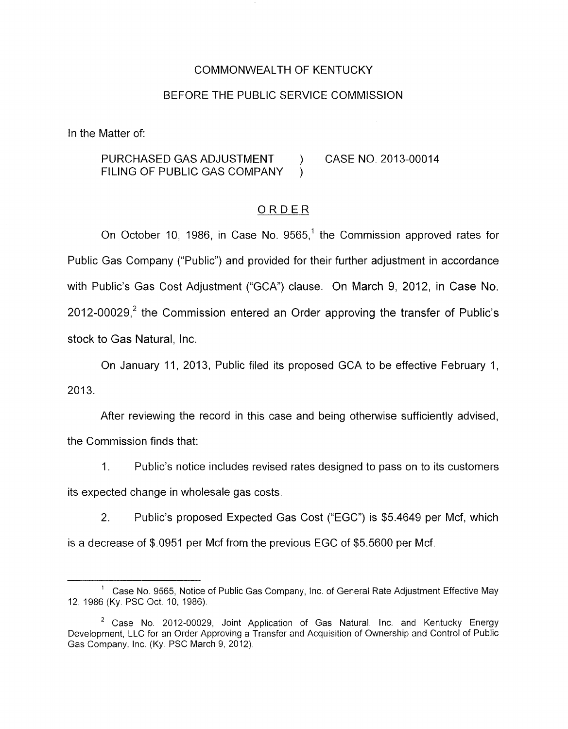### COMMONWEALTH OF KENTUCKY

#### BEFORE THE PUBLIC SERVICE COMMISSION

In the Matter of:

# PURCHASED GAS ADJUSTMENT ) CASE NO. 2013-00014 FILING OF PUBLIC GAS COMPANY )

### ORDER

On October 10, 1986, in Case No. 9565,<sup>1</sup> the Commission approved rates for Public Gas Company ("Public") and provided for their further adjustment in accordance with Public's Gas Cost Adjustment ("GCA") clause. On March 9, 2012, in Case No.  $2012$ -00029,<sup>2</sup> the Commission entered an Order approving the transfer of Public's stock to Gas Natural, Inc.

On January 11, 2013, Public filed its proposed GCA to be effective February 1, 2013.

After reviewing the record in this case and being otherwise sufficiently advised, the Commission finds that:

1. Public's notice includes revised rates designed to pass on to its customers its expected change in wholesale gas costs.

2. Public's proposed Expected Gas Cost ("EGC") is \$5.4649 per Mcf, which is a decrease of \$.0951 per Mcf from the previous EGC of \$5.5600 per Mcf.

<sup>&</sup>lt;sup>1</sup> Case No. 9565, Notice of Public Gas Company, Inc. of General Rate Adjustment Effective May 12, 1986 (Ky. PSC Oct. 10, 1986).

 $2$  Case No. 2012-00029, Joint Application of Gas Natural, Inc. and Kentucky Energy Development, LLC for an Order Approving a Transfer and Acquisition of Ownership and Control of Public Gas Company, Inc. (Ky. PSC March 9, 2012).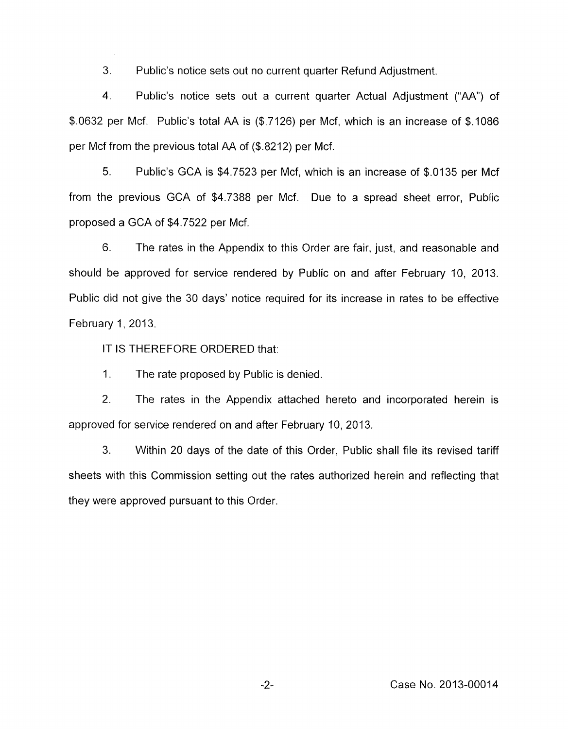3. Public's notice sets out no current quarter Refund Adjustment.

4. Public's notice sets out a current quarter Actual Adjustment ("AA") of \$.0632 per Mcf. Public's total AA is (\$.7126) per Mcf, which is an increase of \$.I086 per Mcf from the previous total AA of (\$.8212) per Mcf.

5. Public's GCA is \$4.7523 per Mcf, which is an increase of \$.0135 per Mcf from the previous GCA of \$4.7388 per Mcf. Due to a spread sheet error, Public proposed a GCA of \$4.7522 per Mcf.

6. The rates in the Appendix to this Order are fair, just, and reasonable and should be approved for service rendered by Public on and after February 10, 2013. Public did not give the 30 days' notice required for its increase in rates to be effective February 1, 2013.

IT IS THEREFORE ORDERED that:

 $\mathbf 1$ The rate proposed by Public is denied.

2. The rates in the Appendix attached hereto and incorporated herein is approved for service rendered on and after February 10, 2013.

3. Within 20 days of the date of this Order, Public shall file its revised tariff sheets with this Commission setting out the rates authorized herein and reflecting that they were approved pursuant to this Order.

-2- Case No. 2013-00014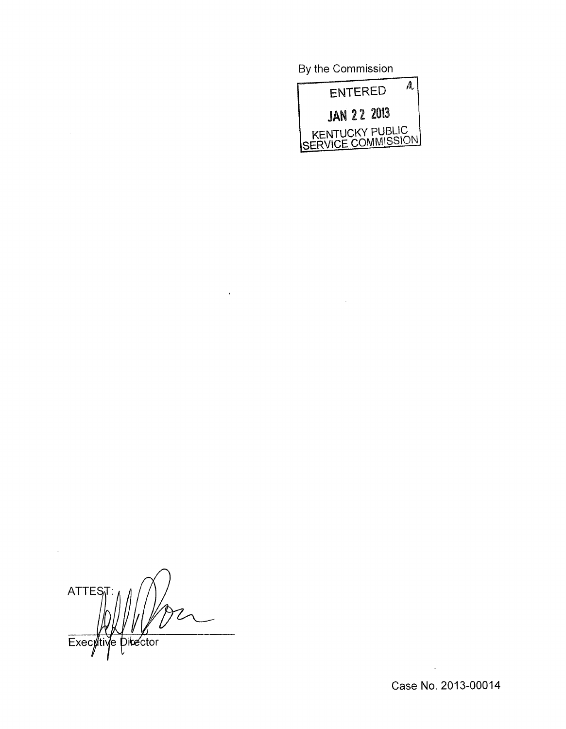By the Commission



**ATTES** pikector Execeti Jе

Case No. 2013-00014

 $\mathcal{L}$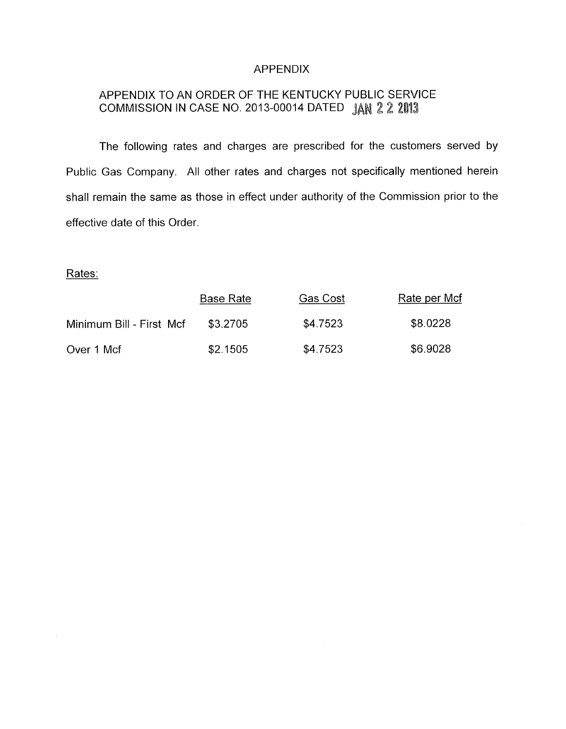# APPENDIX

# APPENDIX TO AN ORDER OF THE KENTUCKY PUBLIC SERVICE COMMISSION IN CASE NO. 2013-00014 DATED JAN 2 2 2013

The following rates and charges are prescribed for the customers served by Public Gas Company. All other rates and charges not specifically mentioned herein shall remain the same as those in effect under authority of the Commission prior to the effective date of this Order.

# Rates:

 $\mathcal{A}$ 

|                          | <b>Base Rate</b> | Gas Cost | Rate per Mcf |
|--------------------------|------------------|----------|--------------|
| Minimum Bill - First Mcf | \$3.2705         | \$4.7523 | \$8.0228     |
| Over 1 Mcf               | \$2.1505         | \$4.7523 | \$6.9028     |